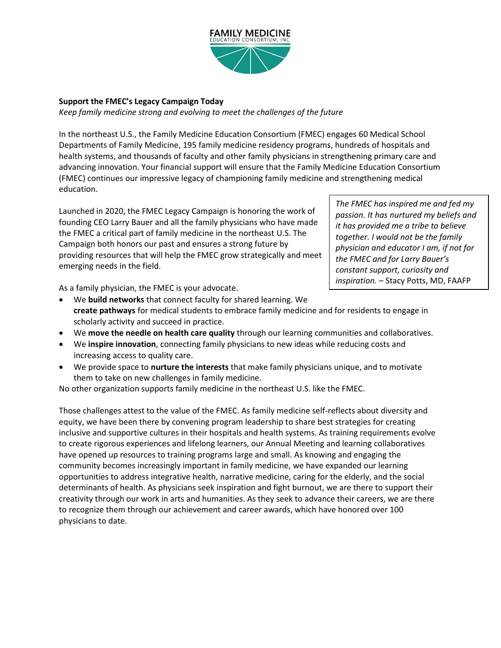

## **Support the FMEC's Legacy Campaign Today**

*Keep family medicine strong and evolving to meet the challenges of the future*

In the northeast U.S., the Family Medicine Education Consortium (FMEC) engages 60 Medical School Departments of Family Medicine, 195 family medicine residency programs, hundreds of hospitals and health systems, and thousands of faculty and other family physicians in strengthening primary care and advancing innovation. Your financial support will ensure that the Family Medicine Education Consortium (FMEC) continues our impressive legacy of championing family medicine and strengthening medical education.

Launched in 2020, the FMEC Legacy Campaign is honoring the work of founding CEO Larry Bauer and all the family physicians who have made the FMEC a critical part of family medicine in the northeast U.S. The Campaign both honors our past and ensures a strong future by providing resources that will help the FMEC grow strategically and meet emerging needs in the field.

*The FMEC has inspired me and fed my passion. It has nurtured my beliefs and it has provided me a tribe to believe together. I would not be the family physician and educator I am, if not for the FMEC and for Larry Bauer's constant support, curiosity and inspiration.* – Stacy Potts, MD, FAAFP

As a family physician, the FMEC is your advocate.

- We **build networks** that connect faculty for shared learning. We **create pathways** for medical students to embrace family medicine and for residents to engage in scholarly activity and succeed in practice.
- We **move the needle on health care quality** through our learning communities and collaboratives.
- We **inspire innovation**, connecting family physicians to new ideas while reducing costs and increasing access to quality care.
- We provide space to **nurture the interests** that make family physicians unique, and to motivate them to take on new challenges in family medicine.

No other organization supports family medicine in the northeast U.S. like the FMEC.

Those challenges attest to the value of the FMEC. As family medicine self-reflects about diversity and equity, we have been there by convening program leadership to share best strategies for creating inclusive and supportive cultures in their hospitals and health systems. As training requirements evolve to create rigorous experiences and lifelong learners, our Annual Meeting and learning collaboratives have opened up resources to training programs large and small. As knowing and engaging the community becomes increasingly important in family medicine, we have expanded our learning opportunities to address integrative health, narrative medicine, caring for the elderly, and the social determinants of health. As physicians seek inspiration and fight burnout, we are there to support their creativity through our work in arts and humanities. As they seek to advance their careers, we are there to recognize them through our achievement and career awards, which have honored over 100 physicians to date.